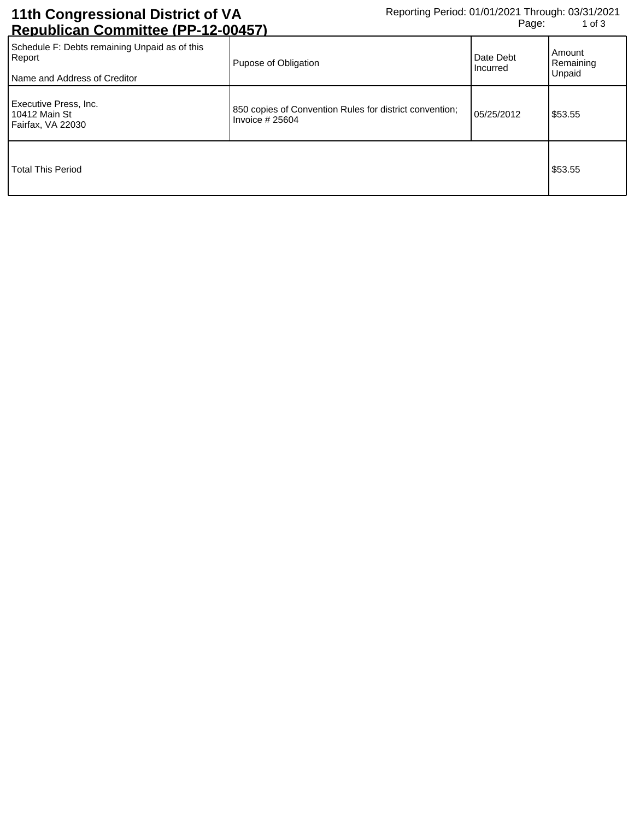## **11th Congressional District of VA Republican Committee (PP-12-00457)**

| Schedule F: Debts remaining Unpaid as of this<br>Report<br>Name and Address of Creditor | Pupose of Obligation                                                        | Date Debt<br><b>Incurred</b> | Amount<br>Remaining<br>Unpaid |
|-----------------------------------------------------------------------------------------|-----------------------------------------------------------------------------|------------------------------|-------------------------------|
| Executive Press, Inc.<br>10412 Main St<br>Fairfax, VA 22030                             | 850 copies of Convention Rules for district convention;<br>Invoice $#25604$ | 05/25/2012                   | \$53.55                       |
| <b>Total This Period</b>                                                                |                                                                             |                              | \$53.55                       |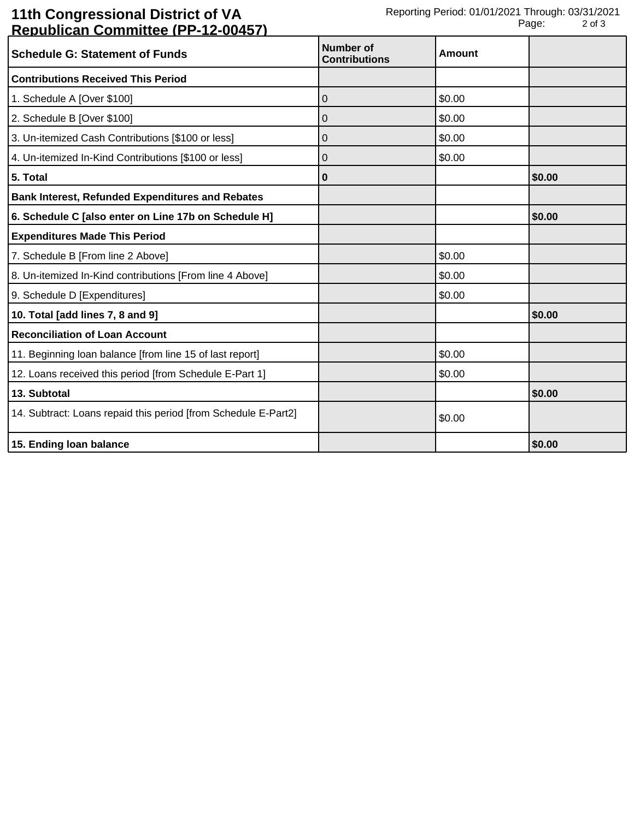## **11th Congressional District of VA Republican Committee (PP-12-00457)**

| <u> Kopaphoan Oommittoo (f. f. botof</u>                       |                                          |               |        |
|----------------------------------------------------------------|------------------------------------------|---------------|--------|
| <b>Schedule G: Statement of Funds</b>                          | <b>Number of</b><br><b>Contributions</b> | <b>Amount</b> |        |
| <b>Contributions Received This Period</b>                      |                                          |               |        |
| 1. Schedule A [Over \$100]                                     | 0                                        | \$0.00        |        |
| 2. Schedule B [Over \$100]                                     | 0                                        | \$0.00        |        |
| 3. Un-itemized Cash Contributions [\$100 or less]              | 0                                        | \$0.00        |        |
| 4. Un-itemized In-Kind Contributions [\$100 or less]           | 0                                        | \$0.00        |        |
| 5. Total                                                       | 0                                        |               | \$0.00 |
| <b>Bank Interest, Refunded Expenditures and Rebates</b>        |                                          |               |        |
| 6. Schedule C [also enter on Line 17b on Schedule H]           |                                          |               | \$0.00 |
| <b>Expenditures Made This Period</b>                           |                                          |               |        |
| 7. Schedule B [From line 2 Above]                              |                                          | \$0.00        |        |
| 8. Un-itemized In-Kind contributions [From line 4 Above]       |                                          | \$0.00        |        |
| 9. Schedule D [Expenditures]                                   |                                          | \$0.00        |        |
| 10. Total [add lines 7, 8 and 9]                               |                                          |               | \$0.00 |
| <b>Reconciliation of Loan Account</b>                          |                                          |               |        |
| 11. Beginning loan balance [from line 15 of last report]       |                                          | \$0.00        |        |
| 12. Loans received this period [from Schedule E-Part 1]        |                                          | \$0.00        |        |
| 13. Subtotal                                                   |                                          |               | \$0.00 |
| 14. Subtract: Loans repaid this period [from Schedule E-Part2] |                                          | \$0.00        |        |
| 15. Ending loan balance                                        |                                          |               | \$0.00 |